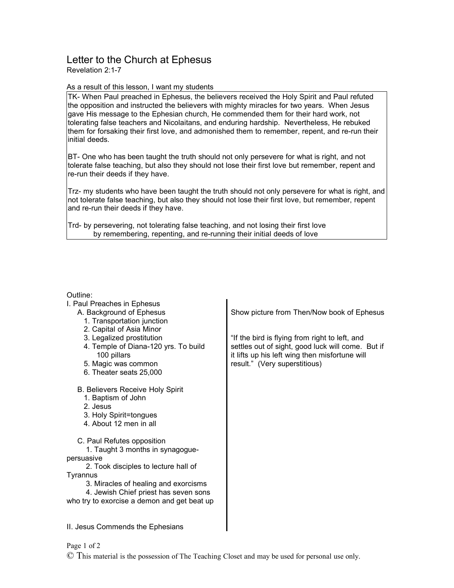## Letter to the Church at Ephesus

Revelation 2:1-7

## As a result of this lesson, I want my students

TK- When Paul preached in Ephesus, the believers received the Holy Spirit and Paul refuted the opposition and instructed the believers with mighty miracles for two years. When Jesus gave His message to the Ephesian church, He commended them for their hard work, not tolerating false teachers and Nicolaitans, and enduring hardship. Nevertheless, He rebuked them for forsaking their first love, and admonished them to remember, repent, and re-run their initial deeds.

BT- One who has been taught the truth should not only persevere for what is right, and not tolerate false teaching, but also they should not lose their first love but remember, repent and re-run their deeds if they have.

Trz- my students who have been taught the truth should not only persevere for what is right, and not tolerate false teaching, but also they should not lose their first love, but remember, repent and re-run their deeds if they have.

Trd- by persevering, not tolerating false teaching, and not losing their first love by remembering, repenting, and re-running their initial deeds of love

## $\sim$ ue

| Outline:                                            |                                                                                                     |
|-----------------------------------------------------|-----------------------------------------------------------------------------------------------------|
| I. Paul Preaches in Ephesus                         |                                                                                                     |
| A. Background of Ephesus                            | Show picture from Then/Now book of Ephesus                                                          |
| 1. Transportation junction                          |                                                                                                     |
| 2. Capital of Asia Minor                            |                                                                                                     |
| 3. Legalized prostitution                           | "If the bird is flying from right to left, and                                                      |
| 4. Temple of Diana-120 yrs. To build<br>100 pillars | settles out of sight, good luck will come. But if<br>it lifts up his left wing then misfortune will |
| 5. Magic was common                                 | result." (Very superstitious)                                                                       |
| 6. Theater seats 25,000                             |                                                                                                     |
|                                                     |                                                                                                     |
| <b>B. Believers Receive Holy Spirit</b>             |                                                                                                     |
| 1. Baptism of John                                  |                                                                                                     |
| 2. Jesus                                            |                                                                                                     |
| 3. Holy Spirit=tongues                              |                                                                                                     |
| 4. About 12 men in all                              |                                                                                                     |
| C. Paul Refutes opposition                          |                                                                                                     |
| 1. Taught 3 months in synagogue-                    |                                                                                                     |
| persuasive                                          |                                                                                                     |
| 2. Took disciples to lecture hall of                |                                                                                                     |
| Tyrannus                                            |                                                                                                     |
| 3. Miracles of healing and exorcisms                |                                                                                                     |
| 4. Jewish Chief priest has seven sons               |                                                                                                     |
| who try to exorcise a demon and get beat up         |                                                                                                     |
|                                                     |                                                                                                     |
| II. Jesus Commends the Ephesians                    |                                                                                                     |
|                                                     |                                                                                                     |

Page 1 of 2

© This material is the possession of The Teaching Closet and may be used for personal use only.